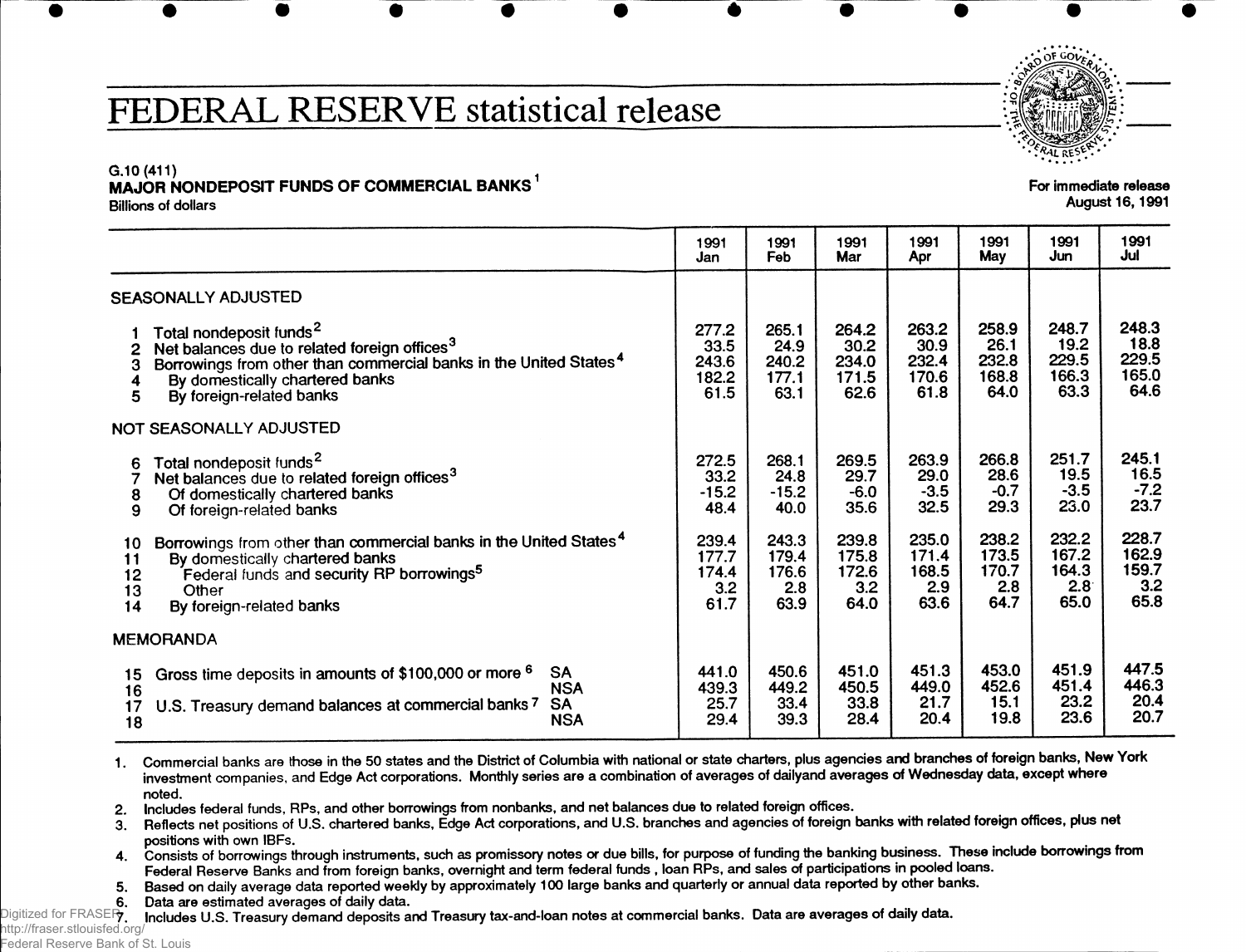### **FEDERAL RESERVE statistical release**

For immediate release August 16,1991

### $G.10(411)$ **MAJOR NONDEPOSIT FUNDS OF COMMERCIAL BANKS**

Billions of dollars

|                            |                                                                                                                                                                                                                                                 | 1991<br>Jan                             | 1991<br>Feb                             | 1991<br>Mar                             | 1991<br>Apr                             | 1991<br>May                             | 1991<br>Jun                             | 1991<br>Jul                             |
|----------------------------|-------------------------------------------------------------------------------------------------------------------------------------------------------------------------------------------------------------------------------------------------|-----------------------------------------|-----------------------------------------|-----------------------------------------|-----------------------------------------|-----------------------------------------|-----------------------------------------|-----------------------------------------|
|                            | SEASONALLY ADJUSTED                                                                                                                                                                                                                             |                                         |                                         |                                         |                                         |                                         |                                         |                                         |
| 3<br>5                     | Total nondeposit funds <sup>2</sup><br>Net balances due to related foreign offices <sup>3</sup><br>Borrowings from other than commercial banks in the United States <sup>4</sup><br>By domestically chartered banks<br>By foreign-related banks | 277.2<br>33.5<br>243.6<br>182.2<br>61.5 | 265.1<br>24.9<br>240.2<br>177.1<br>63.1 | 264.2<br>30.2<br>234.0<br>171.5<br>62.6 | 263.2<br>30.9<br>232.4<br>170.6<br>61.8 | 258.9<br>26.1<br>232.8<br>168.8<br>64.0 | 248.7<br>19.2<br>229.5<br>166.3<br>63.3 | 248.3<br>18.8<br>229.5<br>165.0<br>64.6 |
|                            | NOT SEASONALLY ADJUSTED                                                                                                                                                                                                                         |                                         |                                         |                                         |                                         |                                         |                                         |                                         |
| 6<br>8<br>9                | Total nondeposit funds <sup>2</sup><br>Net balances due to related foreign offices <sup>3</sup><br>Of domestically chartered banks<br>Of foreign-related banks                                                                                  | 272.5<br>33.2<br>$-15.2$<br>48.4        | 268.1<br>24.8<br>$-15.2$<br>40.0        | 269.5<br>29.7<br>$-6.0$<br>35.6         | 263.9<br>29.0<br>$-3.5$<br>32.5         | 266.8<br>28.6<br>$-0.7$<br>29.3         | 251.7<br>19.5<br>$-3.5$<br>23.0         | 245.1<br>16.5<br>$-7.2$<br>23.7         |
| 10<br>11<br>12<br>13<br>14 | Borrowings from other than commercial banks in the United States <sup>4</sup><br>By domestically chartered banks<br>Federal funds and security RP borrowings <sup>5</sup><br>Other<br>By foreign-related banks                                  | 239.4<br>177.7<br>174.4<br>3.2<br>61.7  | 243.3<br>179.4<br>176.6<br>2.8<br>63.9  | 239.8<br>175.8<br>172.6<br>3.2<br>64.0  | 235.0<br>171.4<br>168.5<br>2.9<br>63.6  | 238.2<br>173.5<br>170.7<br>2.8<br>64.7  | 232.2<br>167.2<br>164.3<br>2.8<br>65.0  | 228.7<br>162.9<br>159.7<br>3.2<br>65.8  |
| <b>MEMORANDA</b>           |                                                                                                                                                                                                                                                 |                                         |                                         |                                         |                                         |                                         |                                         |                                         |
| 15<br>16<br>17<br>18       | <b>SA</b><br>Gross time deposits in amounts of \$100,000 or more <sup>6</sup><br><b>NSA</b><br><b>SA</b><br>U.S. Treasury demand balances at commercial banks 7<br><b>NSA</b>                                                                   | 441.0<br>439.3<br>25.7<br>29.4          | 450.6<br>449.2<br>33.4<br>39.3          | 451.0<br>450.5<br>33.8<br>28.4          | 451.3<br>449.0<br>21.7<br>20.4          | 453.0<br>452.6<br>15.1<br>19.8          | 451.9<br>451.4<br>23.2<br>23.6          | 447.5<br>446.3<br>20.4<br>20.7          |

**• •••• • + ••• •**

1. Commercial banks are those in the 50 states and the District of Columbia with national or state charters, plus agencies and branches of foreign banks, New York investment companies, and Edge Act corporations. Monthly series are a combination of averages of dailyand averages of Wednesday data, except where noted.

2. Includes federal funds, RPs, and other borrowings from nonbanks, and net balances due to related foreign offices.

3. Reflects net positions of U.S. chartered banks, Edge Act corporations, and U.S. branches and agencies of foreign banks with related foreign offices, plus net positions with own IBFs. .

4. Consists of borrowings through instruments, such as promissory notes or due bills, for purpose of funding the banking business. These include borrowings from Federal Reserve Banks and from foreign banks, overnight and term federal funds , loan RPs, and sales of participations in pooled loans.

5. Based on daily average data reported weekly by approximately 100 large banks and quarterly or annual data reported by other banks.

6. Data are estimated averages of daily data.

Digitized for FRASE**R, Includes U.S. Treasury demand deposits and Treasury tax-and-loan notes at commercial banks. Data are averages of daily data.** 

http://fraser.stlouisfed.org/ Federal Reserve Bank of St. Louis

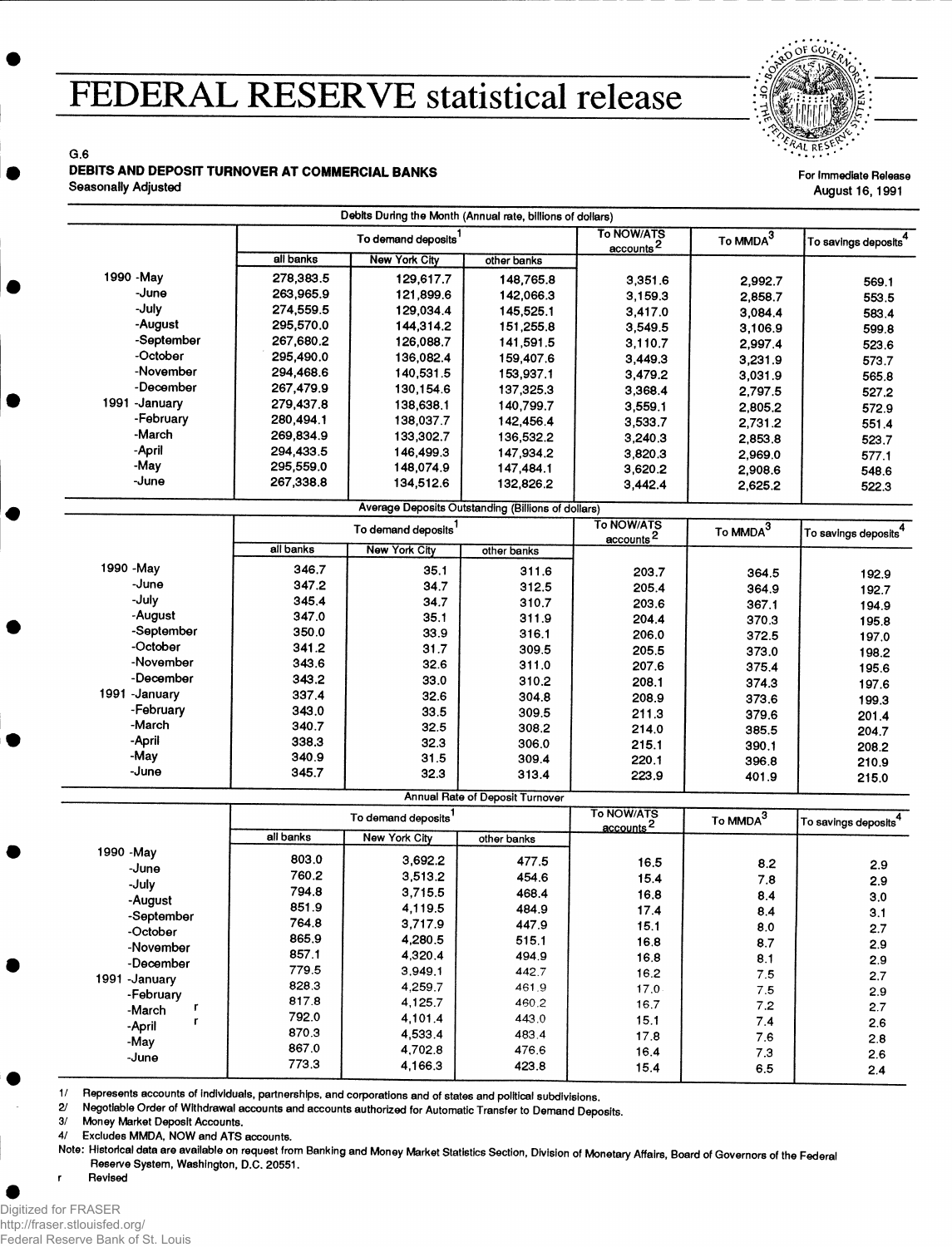## **FEDERAL RESERVE statistical release**



For Immediate Release August 16, 1991

G.6 DEBITS AND DEPOSIT TURNOVER AT COMMERCIAL BANKS

Seasonally Adjusted

|                                 |           | Debits During the Month (Annual rate, billions of dollars) |                                                    |                                     |             |                                  |
|---------------------------------|-----------|------------------------------------------------------------|----------------------------------------------------|-------------------------------------|-------------|----------------------------------|
| To demand deposits <sup>1</sup> |           | To NOW/ATS<br>$\frac{accounds^2}{2}$                       | To MMDA <sup>3</sup>                               | To savings deposits <sup>4</sup>    |             |                                  |
|                                 | all banks | <b>New York City</b>                                       | other banks                                        |                                     |             |                                  |
| 1990 - May                      | 278,383.5 | 129,617.7                                                  | 148,765.8                                          | 3,351.6                             | 2,992.7     | 569.1                            |
| -June                           | 263,965.9 | 121,899.6                                                  | 142,066.3                                          | 3,159.3                             | 2,858.7     | 553.5                            |
| -July                           | 274,559.5 | 129,034.4                                                  | 145,525.1                                          | 3,417.0                             | 3,084.4     | 583.4                            |
| -August                         | 295,570.0 | 144,314.2                                                  | 151,255.8                                          | 3,549.5                             | 3,106.9     | 599.8                            |
| -September                      | 267,680.2 | 126,088.7                                                  | 141,591.5                                          | 3,110.7                             | 2,997.4     | 523.6                            |
| -October                        | 295,490.0 | 136,082.4                                                  | 159,407.6                                          | 3,449.3                             | 3,231.9     | 573.7                            |
| -November                       | 294,468.6 | 140,531.5                                                  | 153,937.1                                          | 3,479.2                             | 3,031.9     | 565.8                            |
| -December                       | 267,479.9 | 130,154.6                                                  | 137,325.3                                          | 3,368.4                             | 2,797.5     | 527.2                            |
| 1991 -January                   | 279,437.8 | 138,638.1                                                  | 140,799.7                                          | 3,559.1                             | 2,805.2     | 572.9                            |
| -February                       | 280,494.1 | 138,037.7                                                  | 142,456.4                                          | 3,533.7                             | 2,731.2     | 551.4                            |
| -March                          | 269,834.9 | 133,302.7                                                  | 136,532.2                                          | 3,240.3                             | 2,853.8     | 523.7                            |
| -April                          | 294,433.5 | 146,499.3                                                  | 147,934.2                                          | 3,820.3                             |             |                                  |
| -May                            | 295,559.0 | 148,074.9                                                  | 147,484.1                                          | 3,620.2                             | 2,969.0     | 577.1                            |
| -June                           | 267,338.8 | 134,512.6                                                  | 132,826.2                                          |                                     | 2,908.6     | 548.6                            |
|                                 |           |                                                            |                                                    | 3,442.4                             | 2,625.2     | 522.3                            |
|                                 |           |                                                            | Average Deposits Outstanding (Billions of dollars) | <b>To NOW/ATS</b>                   |             |                                  |
|                                 |           | To demand deposits <sup>1</sup>                            |                                                    | accounts <sup>2</sup>               | To $MMDA^3$ | To savings deposits <sup>4</sup> |
|                                 | all banks | <b>New York City</b>                                       | other banks                                        |                                     |             |                                  |
| 1990 - May                      | 346.7     | 35.1                                                       | 311.6                                              | 203.7                               | 364.5       | 192.9                            |
| -June                           | 347.2     | 34.7                                                       | 312.5                                              | 205.4                               | 364.9       | 192.7                            |
| -July                           | 345.4     | 34.7                                                       | 310.7                                              | 203.6                               | 367.1       | 194.9                            |
| -August                         | 347.0     | 35.1                                                       | 311.9                                              | 204.4                               | 370.3       | 195.8                            |
| -September                      | 350.0     | 33.9                                                       | 316.1                                              | 206.0                               | 372.5       | 197.0                            |
| -October                        | 341.2     | 31.7                                                       | 309.5                                              | 205.5                               | 373.0       | 198.2                            |
| -November                       | 343.6     | 32.6                                                       | 311.0                                              | 207.6                               | 375.4       | 195.6                            |
| -December                       | 343.2     | 33.0                                                       | 310.2                                              | 208.1                               | 374.3       | 197.6                            |
| 1991 - January                  | 337.4     | 32.6                                                       | 304.8                                              | 208.9                               | 373.6       | 199.3                            |
| -February                       | 343.0     | 33.5                                                       | 309.5                                              | 211.3                               | 379.6       | 201.4                            |
| -March                          | 340.7     | 32.5                                                       | 308.2                                              | 214.0                               | 385.5       | 204.7                            |
| -April                          | 338.3     | 32.3                                                       | 306.0                                              | 215.1                               | 390.1       | 208.2                            |
| -May                            | 340.9     | 31.5                                                       | 309.4                                              | 220.1                               | 396.8       | 210.9                            |
| -June                           | 345.7     | 32.3                                                       | 313.4                                              | 223.9                               | 401.9       | 215.0                            |
|                                 |           |                                                            | <b>Annual Rate of Deposit Turnover</b>             |                                     |             |                                  |
|                                 |           | To demand deposits <sup>1</sup>                            |                                                    | To NOW/ATS<br>accounts <sup>2</sup> | To $MMDA^3$ | To savings deposits <sup>4</sup> |
|                                 | all banks | <b>New York City</b>                                       | other banks                                        |                                     |             |                                  |
| 1990 - May                      | 803.0     | 3,692.2                                                    | 477.5                                              | 16.5                                | 8.2         | 2.9                              |
| -June                           | 760.2     | 3,513.2                                                    | 454.6                                              | 15.4                                | 7.8         |                                  |
| -July                           | 794.8     | 3,715.5                                                    | 468.4                                              | 16.8                                | 8.4         | 2.9                              |
| -August                         | 851.9     | 4,119.5                                                    | 484.9                                              | 17.4                                |             | 3,0                              |
| -September                      | 764.8     | 3,717.9                                                    | 447.9                                              | 15.1                                | 8.4         | 3.1                              |
| -October                        | 865.9     | 4,280.5                                                    | 515.1                                              | 16.8                                | 8.0         | 2.7                              |
| -November                       | 857.1     | 4,320.4                                                    | 494.9                                              | 16.8                                | 8.7         | 2.9                              |
| -December                       | 779.5     | 3,949.1                                                    | 442.7                                              |                                     | 8.1         | 2.9                              |
| 1991 - January                  | 828.3     | 4,259.7                                                    | 461.9                                              | 16.2                                | 7.5         | 2.7                              |
| -February                       | 817.8     | 4,125.7                                                    | 460.2                                              | 17.0                                | 7.5         | 2.9                              |
| r<br>-March                     | 792.0     | 4,101.4                                                    | 443.0                                              | 16.7                                | 7.2         | 2.7                              |
| r<br>-April                     | 870.3     | 4,533.4                                                    | 483.4                                              | 15.1                                | 7.4         | 2.6                              |
| -May                            | 867.0     | 4,702.8                                                    |                                                    | 17.8                                | 7.6         | 2.8                              |
| -June                           |           |                                                            | 476.6<br>423.8                                     | 16.4<br>15.4                        | 7.3<br>6.5  | 2.6                              |
|                                 | 773.3     | 4,166.3                                                    |                                                    |                                     |             | 2.4                              |

1 / Represents accounts of individuals, partnerships, and corporations and of states and political subdivisions.

2/ Negotiable Order of Withdrawal accounts and accounts authorized for Automatic Transfer to Demand Deposits.

3/ Money Market Deposit Accounts.

4/ Excludes MMDA, NOW and ATS accounts.

Note: Historical data are available on request from Banking and Money Market Statistics Section, Division of Monetary Affairs, Board of Governors of the Federal Reserve System, Washington, D.C. 20551.

r Revised

Digitized for FRASER http://fraser.stlouisfed.org/ Federal Reserve Bank of St. Louis